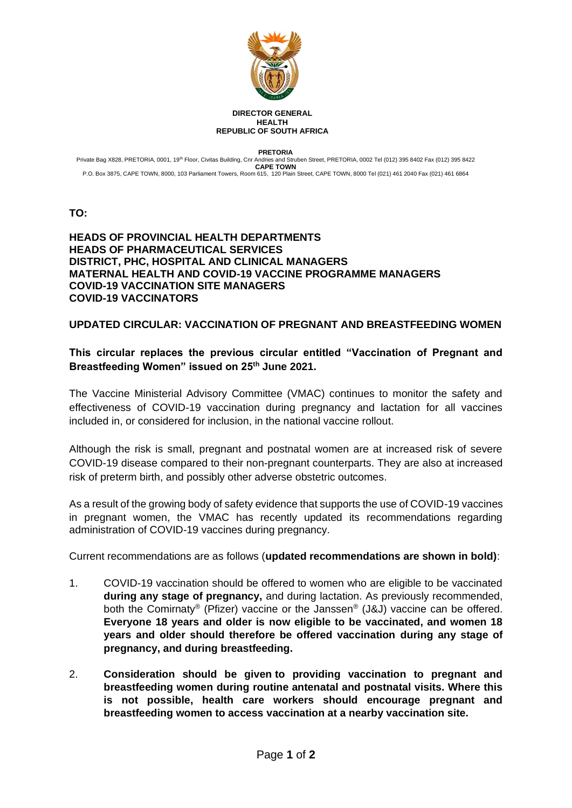

## **DIRECTOR GENERAL HEALTH REPUBLIC OF SOUTH AFRICA**

**PRETORIA**

Private Bag X828, PRETORIA, 0001, 19<sup>th</sup> Floor, Civitas Building, Cnr Andries and Struben Street, PRETORIA, 0002 Tel (012) 395 8402 Fax (012) 395 8402 Fax (012) 395 8422 **CAPE TOWN** P.O. Box 3875, CAPE TOWN, 8000, 103 Parliament Towers, Room 615, 120 Plain Street, CAPE TOWN, 8000 Tel (021) 461 2040 Fax (021) 461 6864

**TO:** 

## **HEADS OF PROVINCIAL HEALTH DEPARTMENTS HEADS OF PHARMACEUTICAL SERVICES DISTRICT, PHC, HOSPITAL AND CLINICAL MANAGERS MATERNAL HEALTH AND COVID-19 VACCINE PROGRAMME MANAGERS COVID-19 VACCINATION SITE MANAGERS COVID-19 VACCINATORS**

## **UPDATED CIRCULAR: VACCINATION OF PREGNANT AND BREASTFEEDING WOMEN**

## **This circular replaces the previous circular entitled "Vaccination of Pregnant and Breastfeeding Women" issued on 25th June 2021.**

The Vaccine Ministerial Advisory Committee (VMAC) continues to monitor the safety and effectiveness of COVID-19 vaccination during pregnancy and lactation for all vaccines included in, or considered for inclusion, in the national vaccine rollout.

Although the risk is small, pregnant and postnatal women are at increased risk of severe COVID-19 disease compared to their non-pregnant counterparts. They are also at increased risk of preterm birth, and possibly other adverse obstetric outcomes.

As a result of the growing body of safety evidence that supports the use of COVID-19 vaccines in pregnant women, the VMAC has recently updated its recommendations regarding administration of COVID-19 vaccines during pregnancy.

Current recommendations are as follows (**updated recommendations are shown in bold)**:

- 1. COVID-19 vaccination should be offered to women who are eligible to be vaccinated **during any stage of pregnancy,** and during lactation. As previously recommended, both the Comirnaty® (Pfizer) vaccine or the Janssen® (J&J) vaccine can be offered. **Everyone 18 years and older is now eligible to be vaccinated, and women 18 years and older should therefore be offered vaccination during any stage of pregnancy, and during breastfeeding.**
- 2. **Consideration should be given to providing vaccination to pregnant and breastfeeding women during routine antenatal and postnatal visits. Where this is not possible, health care workers should encourage pregnant and breastfeeding women to access vaccination at a nearby vaccination site.**